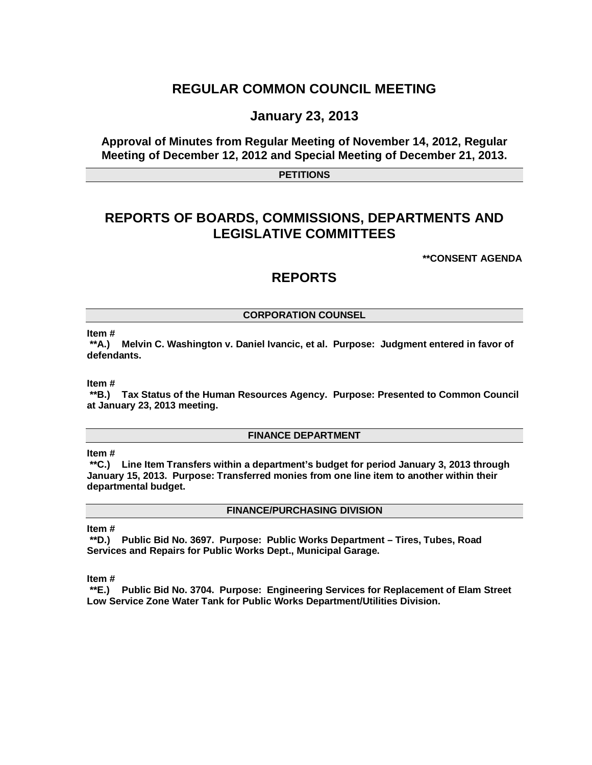## **REGULAR COMMON COUNCIL MEETING**

### **January 23, 2013**

### **Approval of Minutes from Regular Meeting of November 14, 2012, Regular Meeting of December 12, 2012 and Special Meeting of December 21, 2013.**

**PETITIONS**

# **REPORTS OF BOARDS, COMMISSIONS, DEPARTMENTS AND LEGISLATIVE COMMITTEES**

**\*\*CONSENT AGENDA**

## **REPORTS**

#### **CORPORATION COUNSEL**

**Item #**

**\*\*A.) Melvin C. Washington v. Daniel Ivancic, et al. Purpose: Judgment entered in favor of defendants.**

**Item #**

**\*\*B.) Tax Status of the Human Resources Agency. Purpose: Presented to Common Council at January 23, 2013 meeting.**

#### **FINANCE DEPARTMENT**

**Item #**

**\*\*C.) Line Item Transfers within a department's budget for period January 3, 2013 through January 15, 2013. Purpose: Transferred monies from one line item to another within their departmental budget.**

#### **FINANCE/PURCHASING DIVISION**

#### **Item #**

**\*\*D.) Public Bid No. 3697. Purpose: Public Works Department – Tires, Tubes, Road Services and Repairs for Public Works Dept., Municipal Garage.**

**Item #**

**\*\*E.) Public Bid No. 3704. Purpose: Engineering Services for Replacement of Elam Street Low Service Zone Water Tank for Public Works Department/Utilities Division.**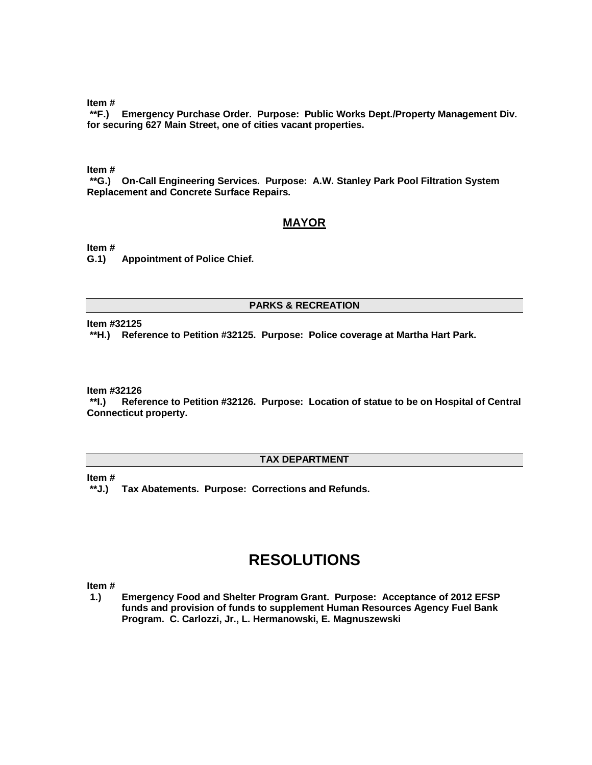**Item #**

**\*\*F.) Emergency Purchase Order. Purpose: Public Works Dept./Property Management Div. for securing 627 Main Street, one of cities vacant properties.**

**Item #**

**\*\*G.) On-Call Engineering Services. Purpose: A.W. Stanley Park Pool Filtration System Replacement and Concrete Surface Repairs.**

#### **MAYOR**

**Item #**

**G.1) Appointment of Police Chief.**

#### **PARKS & RECREATION**

**Item #32125**

**\*\*H.) Reference to Petition #32125. Purpose: Police coverage at Martha Hart Park.**

**Item #32126**

**\*\*I.) Reference to Petition #32126. Purpose: Location of statue to be on Hospital of Central Connecticut property.**

#### **TAX DEPARTMENT**

**Item #**

**\*\*J.) Tax Abatements. Purpose: Corrections and Refunds.**

# **RESOLUTIONS**

**Item #**

**1.) Emergency Food and Shelter Program Grant. Purpose: Acceptance of 2012 EFSP funds and provision of funds to supplement Human Resources Agency Fuel Bank Program. C. Carlozzi, Jr., L. Hermanowski, E. Magnuszewski**